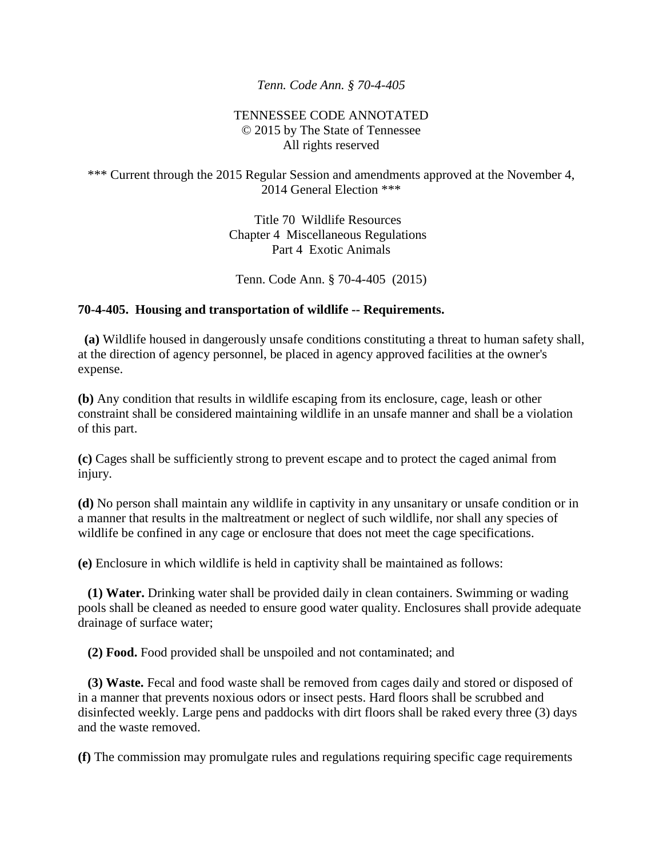## *Tenn. Code Ann. § 70-4-405*

## TENNESSEE CODE ANNOTATED © 2015 by The State of Tennessee All rights reserved

## \*\*\* Current through the 2015 Regular Session and amendments approved at the November 4, 2014 General Election \*\*\*

Title 70 Wildlife Resources Chapter 4 Miscellaneous Regulations Part 4 Exotic Animals

Tenn. Code Ann. § 70-4-405 (2015)

## **70-4-405. Housing and transportation of wildlife -- Requirements.**

 **(a)** Wildlife housed in dangerously unsafe conditions constituting a threat to human safety shall, at the direction of agency personnel, be placed in agency approved facilities at the owner's expense.

**(b)** Any condition that results in wildlife escaping from its enclosure, cage, leash or other constraint shall be considered maintaining wildlife in an unsafe manner and shall be a violation of this part.

**(c)** Cages shall be sufficiently strong to prevent escape and to protect the caged animal from injury.

**(d)** No person shall maintain any wildlife in captivity in any unsanitary or unsafe condition or in a manner that results in the maltreatment or neglect of such wildlife, nor shall any species of wildlife be confined in any cage or enclosure that does not meet the cage specifications.

**(e)** Enclosure in which wildlife is held in captivity shall be maintained as follows:

 **(1) Water.** Drinking water shall be provided daily in clean containers. Swimming or wading pools shall be cleaned as needed to ensure good water quality. Enclosures shall provide adequate drainage of surface water;

**(2) Food.** Food provided shall be unspoiled and not contaminated; and

 **(3) Waste.** Fecal and food waste shall be removed from cages daily and stored or disposed of in a manner that prevents noxious odors or insect pests. Hard floors shall be scrubbed and disinfected weekly. Large pens and paddocks with dirt floors shall be raked every three (3) days and the waste removed.

**(f)** The commission may promulgate rules and regulations requiring specific cage requirements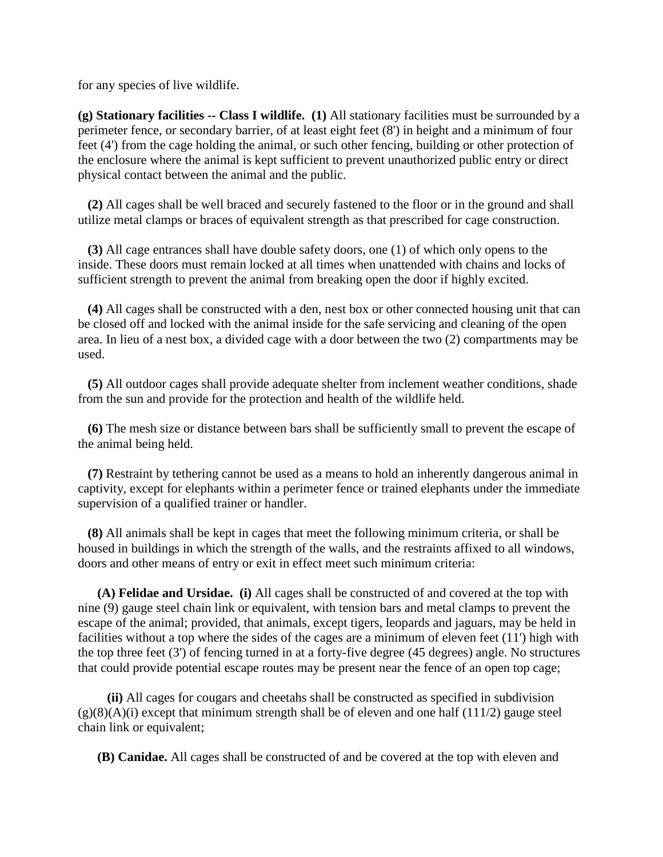for any species of live wildlife.

**(g) Stationary facilities -- Class I wildlife. (1)** All stationary facilities must be surrounded by a perimeter fence, or secondary barrier, of at least eight feet (8') in height and a minimum of four feet (4') from the cage holding the animal, or such other fencing, building or other protection of the enclosure where the animal is kept sufficient to prevent unauthorized public entry or direct physical contact between the animal and the public.

 **(2)** All cages shall be well braced and securely fastened to the floor or in the ground and shall utilize metal clamps or braces of equivalent strength as that prescribed for cage construction.

 **(3)** All cage entrances shall have double safety doors, one (1) of which only opens to the inside. These doors must remain locked at all times when unattended with chains and locks of sufficient strength to prevent the animal from breaking open the door if highly excited.

 **(4)** All cages shall be constructed with a den, nest box or other connected housing unit that can be closed off and locked with the animal inside for the safe servicing and cleaning of the open area. In lieu of a nest box, a divided cage with a door between the two (2) compartments may be used.

 **(5)** All outdoor cages shall provide adequate shelter from inclement weather conditions, shade from the sun and provide for the protection and health of the wildlife held.

 **(6)** The mesh size or distance between bars shall be sufficiently small to prevent the escape of the animal being held.

 **(7)** Restraint by tethering cannot be used as a means to hold an inherently dangerous animal in captivity, except for elephants within a perimeter fence or trained elephants under the immediate supervision of a qualified trainer or handler.

 **(8)** All animals shall be kept in cages that meet the following minimum criteria, or shall be housed in buildings in which the strength of the walls, and the restraints affixed to all windows, doors and other means of entry or exit in effect meet such minimum criteria:

 **(A) Felidae and Ursidae. (i)** All cages shall be constructed of and covered at the top with nine (9) gauge steel chain link or equivalent, with tension bars and metal clamps to prevent the escape of the animal; provided, that animals, except tigers, leopards and jaguars, may be held in facilities without a top where the sides of the cages are a minimum of eleven feet (11') high with the top three feet (3') of fencing turned in at a forty-five degree (45 degrees) angle. No structures that could provide potential escape routes may be present near the fence of an open top cage;

 **(ii)** All cages for cougars and cheetahs shall be constructed as specified in subdivision  $(g)(8)(A)(i)$  except that minimum strength shall be of eleven and one half (111/2) gauge steel chain link or equivalent;

**(B) Canidae.** All cages shall be constructed of and be covered at the top with eleven and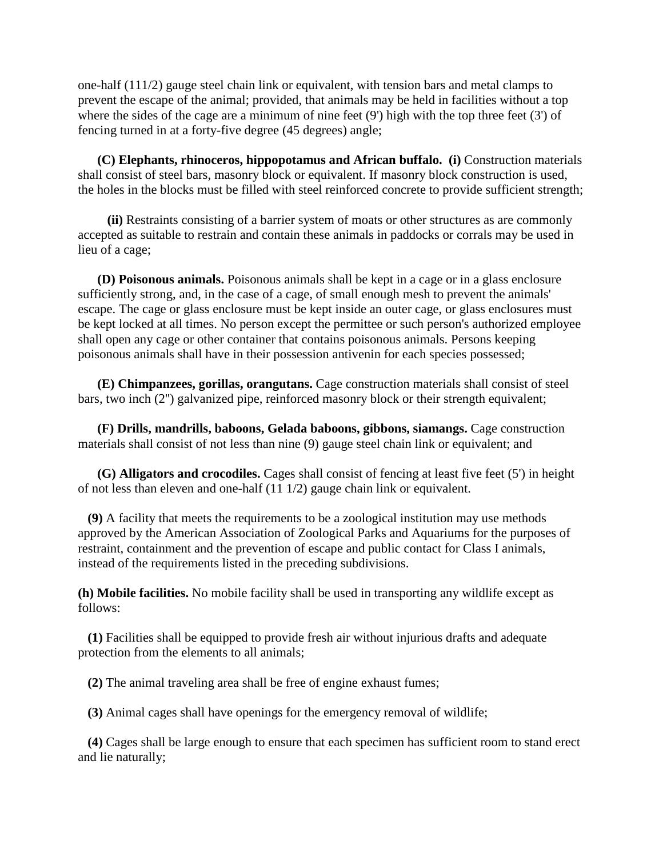one-half (111/2) gauge steel chain link or equivalent, with tension bars and metal clamps to prevent the escape of the animal; provided, that animals may be held in facilities without a top where the sides of the cage are a minimum of nine feet  $(9')$  high with the top three feet  $(3')$  of fencing turned in at a forty-five degree (45 degrees) angle;

 **(C) Elephants, rhinoceros, hippopotamus and African buffalo. (i)** Construction materials shall consist of steel bars, masonry block or equivalent. If masonry block construction is used, the holes in the blocks must be filled with steel reinforced concrete to provide sufficient strength;

 **(ii)** Restraints consisting of a barrier system of moats or other structures as are commonly accepted as suitable to restrain and contain these animals in paddocks or corrals may be used in lieu of a cage;

 **(D) Poisonous animals.** Poisonous animals shall be kept in a cage or in a glass enclosure sufficiently strong, and, in the case of a cage, of small enough mesh to prevent the animals' escape. The cage or glass enclosure must be kept inside an outer cage, or glass enclosures must be kept locked at all times. No person except the permittee or such person's authorized employee shall open any cage or other container that contains poisonous animals. Persons keeping poisonous animals shall have in their possession antivenin for each species possessed;

 **(E) Chimpanzees, gorillas, orangutans.** Cage construction materials shall consist of steel bars, two inch (2'') galvanized pipe, reinforced masonry block or their strength equivalent;

 **(F) Drills, mandrills, baboons, Gelada baboons, gibbons, siamangs.** Cage construction materials shall consist of not less than nine (9) gauge steel chain link or equivalent; and

 **(G) Alligators and crocodiles.** Cages shall consist of fencing at least five feet (5') in height of not less than eleven and one-half (11 1/2) gauge chain link or equivalent.

 **(9)** A facility that meets the requirements to be a zoological institution may use methods approved by the American Association of Zoological Parks and Aquariums for the purposes of restraint, containment and the prevention of escape and public contact for Class I animals, instead of the requirements listed in the preceding subdivisions.

**(h) Mobile facilities.** No mobile facility shall be used in transporting any wildlife except as follows:

 **(1)** Facilities shall be equipped to provide fresh air without injurious drafts and adequate protection from the elements to all animals;

**(2)** The animal traveling area shall be free of engine exhaust fumes;

**(3)** Animal cages shall have openings for the emergency removal of wildlife;

 **(4)** Cages shall be large enough to ensure that each specimen has sufficient room to stand erect and lie naturally;